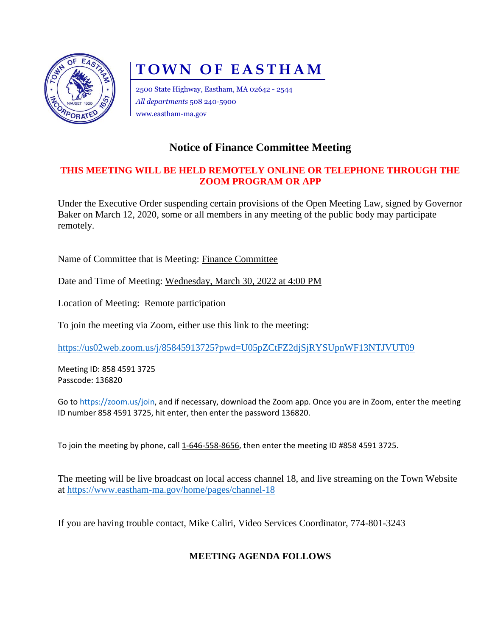

# **TOWN OF EASTHAM**

2500 State Highway, Eastham, MA 02642 - 2544 *All departments* 508 240-5900 www.eastham-ma.gov

## **Notice of Finance Committee Meeting**

#### **THIS MEETING WILL BE HELD REMOTELY ONLINE OR TELEPHONE THROUGH THE ZOOM PROGRAM OR APP**

Under the Executive Order suspending certain provisions of the Open Meeting Law, signed by Governor Baker on March 12, 2020, some or all members in any meeting of the public body may participate remotely.

Name of Committee that is Meeting: Finance Committee

Date and Time of Meeting: Wednesday, March 30, 2022 at 4:00 PM

Location of Meeting: Remote participation

To join the meeting via Zoom, either use this link to the meeting:

<https://us02web.zoom.us/j/85845913725?pwd=U05pZCtFZ2djSjRYSUpnWF13NTJVUT09>

Meeting ID: 858 4591 3725 Passcode: 136820

Go to [https://zoom.us/join,](https://zoom.us/join) and if necessary, download the Zoom app. Once you are in Zoom, enter the meeting ID number 858 4591 3725, hit enter, then enter the password 136820.

To join the meeting by phone, call 1-646-558-8656, then enter the meeting ID #858 4591 3725.

The meeting will be live broadcast on local access channel 18, and live streaming on the Town Website at<https://www.eastham-ma.gov/home/pages/channel-18>

If you are having trouble contact, Mike Caliri, Video Services Coordinator, 774-801-3243

### **MEETING AGENDA FOLLOWS**